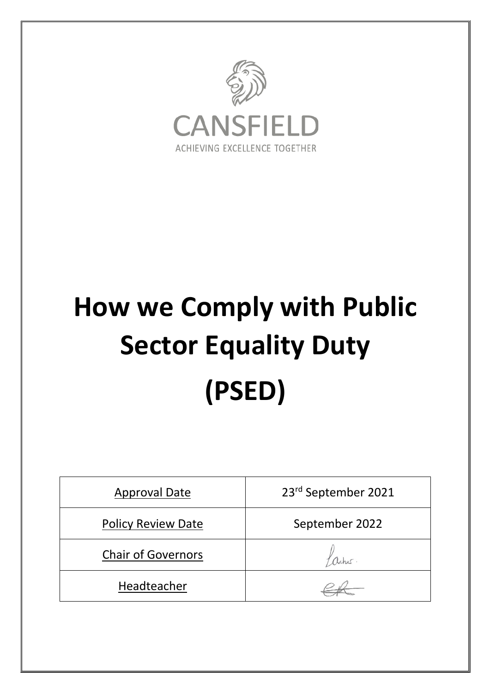

# **How we Comply with Public Sector Equality Duty (PSED)**

| <b>Approval Date</b>      | 23rd September 2021 |
|---------------------------|---------------------|
| <b>Policy Review Date</b> | September 2022      |
| <b>Chair of Governors</b> |                     |
| Headteacher               |                     |